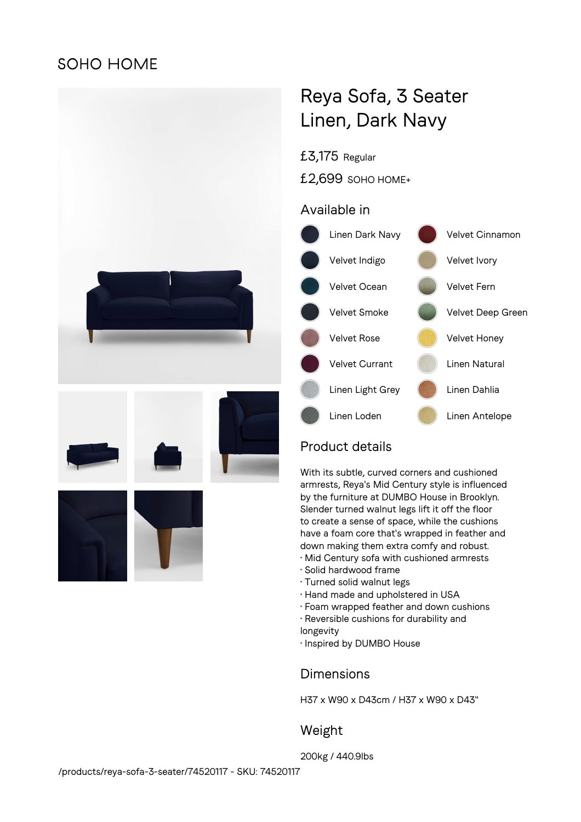## **SOHO HOME**



# Reya Sofa, 3 Seater Linen, Dark Navy

## £3,175 Regular

£2,699 SOHO HOME+

## Available in



## Product details

With its subtle, curved corners and cushioned armrests, Reya's Mid Century style is influenced by the furniture at DUMBO House in Brooklyn. Slender turned walnut legs lift it off the floor to create a sense of space, while the cushions have a foam core that's wrapped in feather and down making them extra comfy and robust.

- Mid Century sofa with cushioned armrests
- Solid hardwood frame
- Turned solid walnut legs
- Hand made and upholstered in USA
- Foam wrapped feather and down cushions
- Reversible cushions for durability and
- longevity
- Inspired by DUMBO House

#### **Dimensions**

H37 x W90 x D43cm / H37 x W90 x D43"

#### Weight

200kg / 440.9lbs